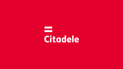# $\blacksquare$ Citadele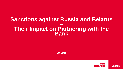#### **Sanctions against Russia and Belarus – Their Impact on Partnering with the Bank**

13.04.2022.

**More** opportunities  $\equiv$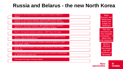## **Russia and Belarus - the new North Korea**

| February 23. 1st round of sanctions in response to Russia's invasion of<br><b>Ukraine</b>                                                           | Many<br><b>Russian and</b>                        |
|-----------------------------------------------------------------------------------------------------------------------------------------------------|---------------------------------------------------|
| February 25. 2nd round of sanctions. Sanctions against Putin and the<br>financial, energy, transport and technology sectors, as well as visa policy | <b>Belarusian</b><br>banks are<br>subject to      |
| February 28. 3rd round of sanctions. New targeted sanctions, sanctions<br>against the Central Bank of Russia and regarding EU airspace              | <b>sanctions</b>                                  |
| March 2. 3rd round of sanctions continues - SWIFT bans, RU media                                                                                    | The new<br>sanctions are<br>very complex          |
| March 9. New sanctions against Belarus and Russia and targeted financial<br>sanctions against natural persons                                       | in practice $-$ it<br>takes time<br>and resources |
| March 15. 4th round of sanctions, including, restrictions against iron, steel,<br>luxury goods, industry                                            | What is<br>allowed                                |
| April 8. 5th round of sanctions: coal, ports, road transport, wood, cement,<br>alcohol, etc.                                                        | decreases<br>and will                             |
| It has already been announced that the 6th round of sanctions is being drawn<br>up, with particular mention of oil                                  | continue to<br>decrease                           |
| CNN reports first signs of Russian default                                                                                                          |                                                   |

**More** opportunities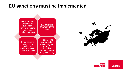#### **EU sanctions must be implemented**





**More** opportunities =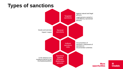# **Types of sanctions**

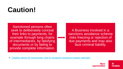# **Caution!**

Sanctioned persons often seek to deliberately conceal their links to payments, for example through long chains of intermediaries, by falsifying documents or by failing to provide complete information.

A Business involved in a sanctions avoidance scheme risks freezing or rejection of due payments and may also face criminal liability.

➢ Citadele advice for [businesses: how to recognize sanctions evasion attempts](https://www.cblgroup.com/en/media/press-releases/2022/sanctions-evasion/) 

More opportunities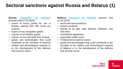## **Sectoral sanctions against Russia and Belarus (1)**

**Russia:** [Regulation](https://eur-lex.europa.eu/legal-content/EN/TXT/?uri=CELEX%3A02014R0833-20220316) No 833/2014 (version until 07.04.2022):

- export of luxury goods for use in Russia, starting from 300 euros per product;
- export of sea navigation goods;
- exports of oil industry goods;
- imports of iron and steel from Russia;
- goods and technologies that could contribute to the increase of Russian military and technological capacity or to the development of the defence and security sector.

**Belarus:** [Regulation](https://eur-lex.europa.eu/legal-content/EN/TXT/?uri=CELEX%3A02006R0765-20220310) No 765/2006 (version until 07.04.2022):

- wood and wood products;
- cement products;
- articles of oil, gas, coal, bitumen, fertilizers, iron and steel;
- mechanical appliances;
- pneumatic rubber tyres;
- IT/telecommunications sector;
- goods and technologies that could contribute to the increase of the military and technological capacity of Belarus or to the development of the defence and security sector.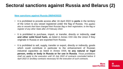### **Sectoral sanctions against Russia and Belarus (2)**

**New sanctions against Russia [\(08/04/2022\)](https://eur-lex.europa.eu/legal-content/EN/TXT/?uri=uriserv%3AOJ.L_.2022.111.01.0001.01.ENG&toc=OJ%3AL%3A2022%3A111%3ATOC)**

- It is prohibited to provide access after 16 April 2022 to **ports** in the territory of the Union to any vessel registered under the flag of Russia. *This applies also to vessels that have changed their Russian flag or their registration, to the flag or register of any other State after 24 February 2022.*
- It is prohibited to purchase, import, or transfer, directly or indirectly, **coal and other solid fossil fuels**, as listed in Annex XXII into the Union if they originate in Russia or are exported from Russia.
- It is prohibited to sell, supply, transfer or export, directly or indirectly, goods which could contribute in particular to the enhancement of Russian industrial capacities as listed in Annex XXIII, **to any natural or legal person, entity or body in Russia or for use in Russia**. *Those prohibitions shall not apply to the execution until 10 July 2022 of contracts concluded before 9 April 2022 or ancillary contracts necessary for the execution of such contracts.*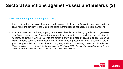### **Sectoral sanctions against Russia and Belarus (3)**

#### **New sanctions against Russia [\(08/04/2022\)](https://eur-lex.europa.eu/legal-content/EN/TXT/?uri=uriserv%3AOJ.L_.2022.111.01.0001.01.ENG&toc=OJ%3AL%3A2022%3A111%3ATOC)**

- It is prohibited for any **road transport** undertaking established in Russia to transport goods by road within the territory of the Union, including in transit (does not apply to postal transport).
- It is prohibited to purchase, import, or transfer, directly or indirectly, goods which generate significant revenues for Russia thereby enabling its actions destabilising the situation in Ukraine, as listed in Annex XXI into the Union if they **originate in Russia or are exported from Russia**, such as crustaceans, caviar, new rubber pneumatic tyres, preserving jars of glass; stoppers, lids and other closures, of glass, fertilisers containing potassium chloride, etc. These prohibitions do not apply to the execution until 10 July 2022 of contracts concluded before 9 April *2022, or ancillary contracts necessary for the execution of such contracts.*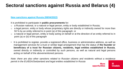### **Sectoral sanctions against Russia and Belarus (4)**

**New sanctions against Russia [\(08/04/2022\)](https://eur-lex.europa.eu/legal-content/EN/TXT/?uri=uriserv%3AOJ.L_.2022.111.01.0001.01.ENG&toc=OJ%3AL%3A2022%3A111%3ATOC)**

It is prohibited to participate in **public procurements** for:

- o a Russian national, or a natural or legal person, entity or body established in Russia;
- o a legal person, entity or body whose proprietary rights are directly or indirectly owned for more than 50 % by an entity referred to in point (a) of this paragraph; or
- o a natural or legal person, entity or body acting on behalf or at the direction of an entity referred to in point (a) or (b) of this paragraph
- It is prohibited to register, provide a registered office, business or administrative address, as well as management services for a trust or similar legal arrangement that has the status of **the founder or beneficiary of a trust for Russian citizens, residents, legal entities established in Russia**, owned directly or indirectly or controlled by such persons, as well as natural and legal persons acting on behalf of the abovementioned persons.

*Note: there are also other sanctions related to Russian citizens and residents without a residence permit in the EU/EEA/Switzerland and legal entities established in Russia*

**More**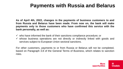# **Payments with Russia and Belarus**

**As of April 4th, 2022, changes in the payments of business customers to and from Russia and Belarus have been made. From now on, the bank will make payments only to those customers who have confirmed this service with the bank personally, as well as:**

 $\checkmark$  who have informed the bank of their sanctions compliance procedure; or  $\checkmark$  whose business operations are not directly or indirectly linked with goods and services subject to European Union sectoral sanctions.

For other customers, payments to or from Russia or Belarus will not be completed, based on Paragraph 3.8 of the General Terms of Business, which relates to sanction risks.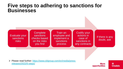#### **Five steps to adhering to sanctions for Businesses**



➢ [Please read further: https://www.cblgroup.com/en/media/press](https://www.cblgroup.com/en/media/press-releases/2022/5-steps/)releases/2022/5-steps/

**More** opportunities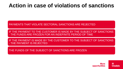# **Action in case of violations of sanctions**

PAYMENTS THAT VIOLATE SECTORAL SANCTIONS ARE REJECTED

IF THE PAYMENT TO THE CUSTOMER IS MADE BY THE SUBJECT OF SANCTIONS - THE FUNDS ARE FROZEN FOR AN INDEFINITE PERIOD OF TIME

IF THE PAYMENT IS MADE BY THE CUSTOMER TO THE SUBJECT OF SANCTIONS - THE PAYMENT IS REJECTED

THE FUNDS OF THE SUBJECT OF SANCTIONS ARE FROZEN

**More Citadele** opportunities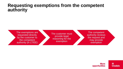#### **Requesting exemptions from the competent authority**

The exemptions are requested directly by the customer to the competent authority (in LT/EE)

The customer must provide legal reasoning for the exemption

The competent authority reviews the request and may provide exemption

> **More** opportunities **Citadele**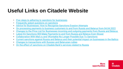# **Useful Links on Citadele Website**

- [Five steps to adhering to sanctions for businesses](https://www.cblgroup.com/en/media/press-releases/2022/5-steps/)
- [Frequently asked questions on sanctions](https://www.citadele.lv/en/support/faq/sanctions/)
- [Advice for Businesses: How to Recognise](https://www.cblgroup.com/en/media/press-releases/2022/sanctions-evasion/) Sanctions Evasion Attempts
- [On processing payments to business customers to and from Russia and Belarus from 04.04.2022](https://www.cblgroup.com/en/media/press-releases/2022/payments/)
- [Changes to the Price List for Businesses incoming and outgoing payments from Russia and Belarus](https://www.cblgroup.com/en/media/press-releases/2022/pricelist-changes-210422/)
- [Latest EU Sanctions Will Make Payments to and from Russia and Belarus Even Slower](https://www.cblgroup.com/en/media/press-releases/2022/new-sanctions/)
- [Collaboration With Mail.ru and VKontakte](https://www.cblgroup.com/en/media/press-releases/2022/mailru-vkontakte/) No Longer Possible Due To Sanctions
- [Current sanctions against Russia and Belarus and their potential impact on businesses in the Baltics](https://www.cblgroup.com/en/media/press-releases/2022/sanctions-possible-impact/)
- [Changes to transactions with Russian and Belarusian rubles](https://www.cblgroup.com/en/media/press-releases/2022/rub-byn-transactions/)
- [On the effect of sanctions on Citadele](https://www.cblgroup.com/en/media/press-releases/2022/sanctions-russia/) Bank's services related to Russia